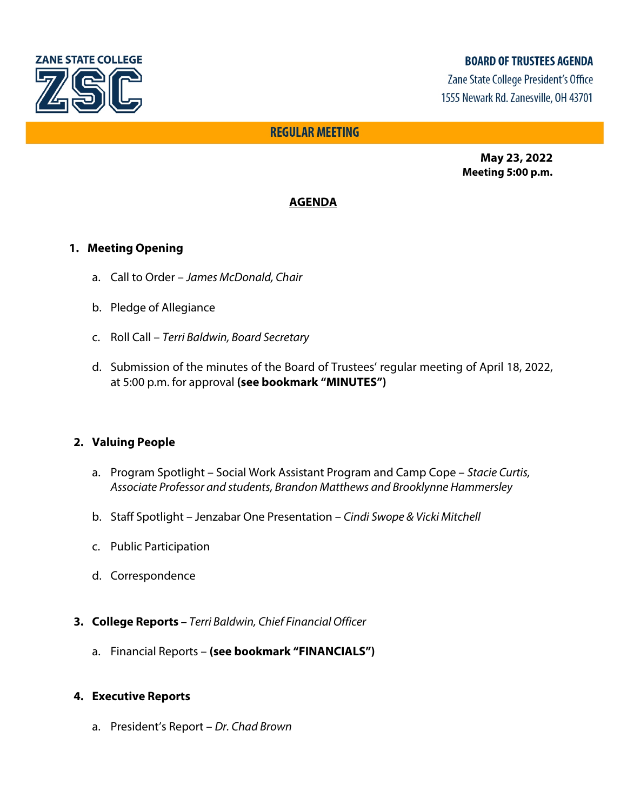

# **BOARD OF TRUSTEES AGENDA**

Zane State College President's Office 1555 Newark Rd. Zanesville, OH 43701

# **REGULAR MEETING**

**May 23, 2022 Meeting 5:00 p.m.**

# **AGENDA**

## **1. Meeting Opening**

- a. Call to Order *James McDonald, Chair*
- b. Pledge of Allegiance
- c. Roll Call *Terri Baldwin, Board Secretary*
- d. Submission of the minutes of the Board of Trustees' regular meeting of April 18, 2022, at 5:00 p.m. for approval **(see bookmark "MINUTES")**

## **2. Valuing People**

- a. Program Spotlight Social Work Assistant Program and Camp Cope *Stacie Curtis, Associate Professor and students, Brandon Matthews and Brooklynne Hammersley*
- b. Staff Spotlight Jenzabar One Presentation *Cindi Swope & Vicki Mitchell*
- c. Public Participation
- d. Correspondence
- **3. College Reports** *Terri Baldwin, Chief Financial Officer*
	- a. Financial Reports **(see bookmark "FINANCIALS")**

#### **4. Executive Reports**

a. President's Report – *Dr. Chad Brown*